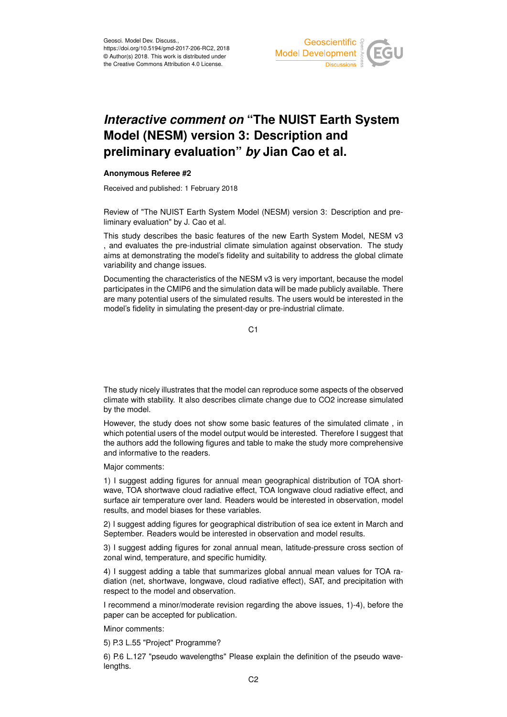

## *Interactive comment on* **"The NUIST Earth System Model (NESM) version 3: Description and preliminary evaluation"** *by* **Jian Cao et al.**

## **Anonymous Referee #2**

Received and published: 1 February 2018

Review of "The NUIST Earth System Model (NESM) version 3: Description and preliminary evaluation" by J. Cao et al.

This study describes the basic features of the new Earth System Model, NESM v3 , and evaluates the pre-industrial climate simulation against observation. The study aims at demonstrating the model's fidelity and suitability to address the global climate variability and change issues.

Documenting the characteristics of the NESM v3 is very important, because the model participates in the CMIP6 and the simulation data will be made publicly available. There are many potential users of the simulated results. The users would be interested in the model's fidelity in simulating the present-day or pre-industrial climate.

C<sub>1</sub>

The study nicely illustrates that the model can reproduce some aspects of the observed climate with stability. It also describes climate change due to CO2 increase simulated by the model.

However, the study does not show some basic features of the simulated climate , in which potential users of the model output would be interested. Therefore I suggest that the authors add the following figures and table to make the study more comprehensive and informative to the readers.

Major comments:

1) I suggest adding figures for annual mean geographical distribution of TOA shortwave, TOA shortwave cloud radiative effect, TOA longwave cloud radiative effect, and surface air temperature over land. Readers would be interested in observation, model results, and model biases for these variables.

2) I suggest adding figures for geographical distribution of sea ice extent in March and September. Readers would be interested in observation and model results.

3) I suggest adding figures for zonal annual mean, latitude-pressure cross section of zonal wind, temperature, and specific humidity.

4) I suggest adding a table that summarizes global annual mean values for TOA radiation (net, shortwave, longwave, cloud radiative effect), SAT, and precipitation with respect to the model and observation.

I recommend a minor/moderate revision regarding the above issues, 1)-4), before the paper can be accepted for publication.

Minor comments:

5) P.3 L.55 "Project" Programme?

6) P.6 L.127 "pseudo wavelengths" Please explain the definition of the pseudo wavelengths.